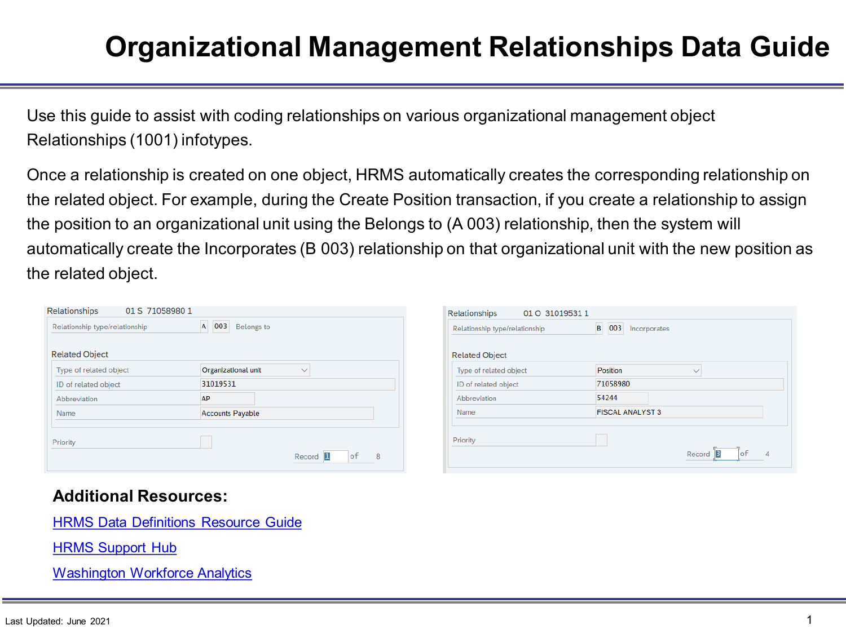### **Organizational Management Relationships Data Guide**

Use this guide to assist with coding relationships on various organizational management object Relationships (1001) infotypes.

Once a relationship is created on one object, HRMS automatically creates the corresponding relationship on the related object. For example, during the Create Position transaction, if you create a relationship to assign the position to an organizational unit using the Belongs to (A 003) relationship, then the system will automatically create the Incorporates (B 003) relationship on that organizational unit with the new position as the related object.

| Relationships<br>01 S 71058980 1                   |                                     |                            | Relationships          | 01 O 31019531 1                                      |                         |                         |  |
|----------------------------------------------------|-------------------------------------|----------------------------|------------------------|------------------------------------------------------|-------------------------|-------------------------|--|
| A 003 Belongs to<br>Relationship type/relationship |                                     |                            |                        | B 003 Incorporates<br>Relationship type/relationship |                         |                         |  |
| <b>Related Object</b>                              |                                     | <b>Related Object</b>      |                        |                                                      |                         |                         |  |
| Type of related object                             | Organizational unit<br>$\checkmark$ |                            | Type of related object |                                                      | Position                | $\checkmark$            |  |
| ID of related object                               | 31019531                            |                            | ID of related object   |                                                      | 71058980                |                         |  |
| Abbreviation                                       | AP                                  |                            | Abbreviation           |                                                      | 54244                   |                         |  |
| Name                                               | <b>Accounts Payable</b>             |                            | Name                   |                                                      | <b>FISCAL ANALYST 3</b> |                         |  |
| Priority                                           |                                     | Record <b>I</b><br>8<br>οf | Priority               |                                                      |                         | Record <b>B</b><br>∣ o† |  |

#### **Additional Resources:**

[HRMS Data Definitions Resource Guide](https://www.ofm.wa.gov/state-human-resources/workforce-data-planning/hrms-data-definitions/hrms-data-definitions-resource-guide)

[HRMS Support Hub](https://support.hrms.wa.gov/)

[Washington Workforce Analytics](https://watech.wa.gov/solutions/it-systems/washington-workforce-analytics)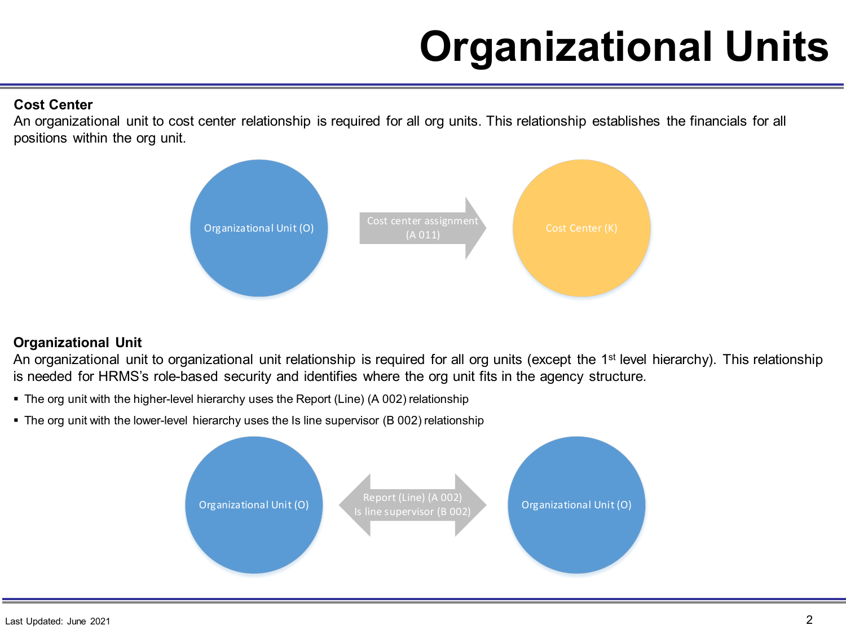# **Organizational Units**

#### **Cost Center**

An organizational unit to cost center relationship is required for all org units. This relationship establishes the financials for all positions within the org unit.



#### **Organizational Unit**

An organizational unit to organizational unit relationship is required for all org units (except the 1<sup>st</sup> level hierarchy). This relationship is needed for HRMS's role-based security and identifies where the org unit fits in the agency structure.

- The org unit with the higher-level hierarchy uses the Report (Line) (A 002) relationship
- The org unit with the lower-level hierarchy uses the Is line supervisor (B 002) relationship

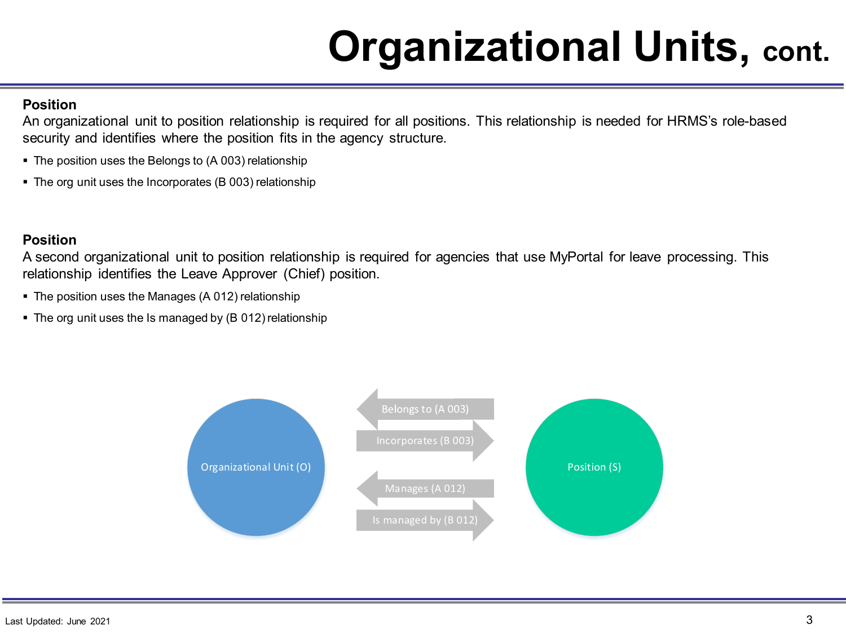# **Organizational Units, cont.**

#### **Position**

An organizational unit to position relationship is required for all positions. This relationship is needed for HRMS's role-based security and identifies where the position fits in the agency structure.

- The position uses the Belongs to (A 003) relationship
- The org unit uses the Incorporates (B 003) relationship

#### **Position**

A second organizational unit to position relationship is required for agencies that use MyPortal for leave processing. This relationship identifies the Leave Approver (Chief) position.

- The position uses the Manages (A 012) relationship
- The org unit uses the Is managed by (B 012) relationship

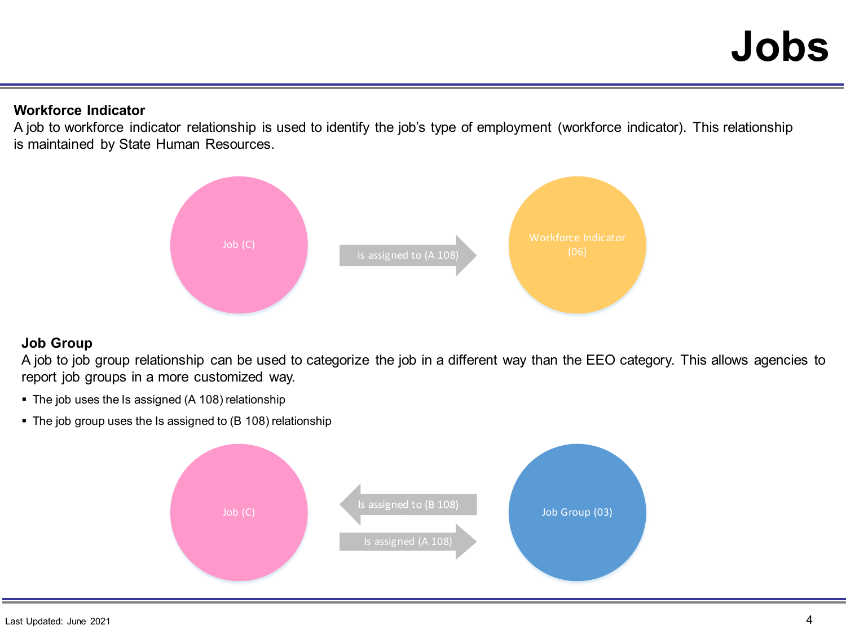#### **Workforce Indicator**

A job to workforce indicator relationship is used to identify the job's type of employment (workforce indicator). This relationship is maintained by State Human Resources.



#### **Job Group**

A job to job group relationship can be used to categorize the job in a different way than the EEO category. This allows agencies to report job groups in a more customized way.

- The job uses the Is assigned (A 108) relationship
- The job group uses the Is assigned to (B 108) relationship

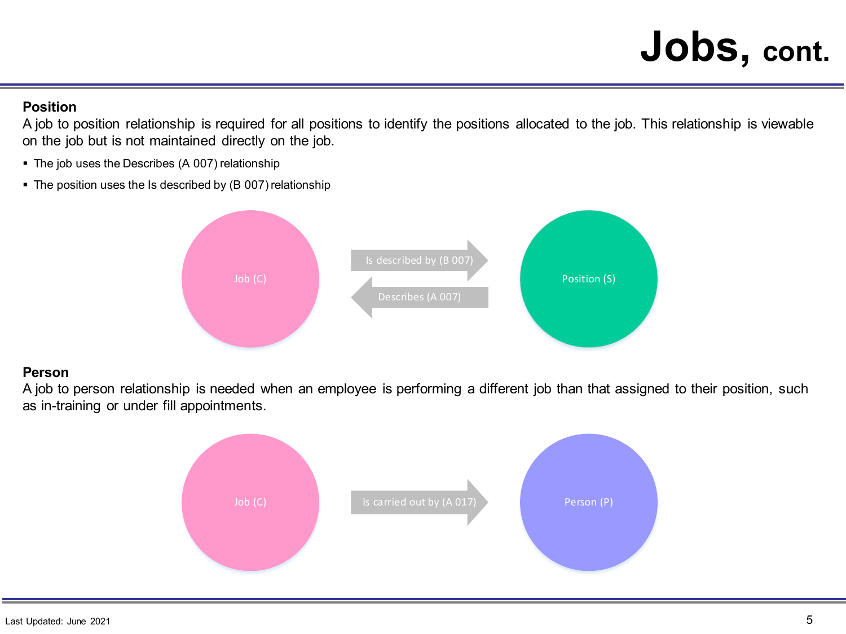### **Jobs, cont.**

#### **Position**

A job to position relationship is required for all positions to identify the positions allocated to the job. This relationship is viewable on the job but is not maintained directly on the job.

- **The job uses the Describes (A 007) relationship**
- The position uses the Is described by (B 007) relationship



#### **Person**

A job to person relationship is needed when an employee is performing a different job than that assigned to their position, such as in-training or under fill appointments.

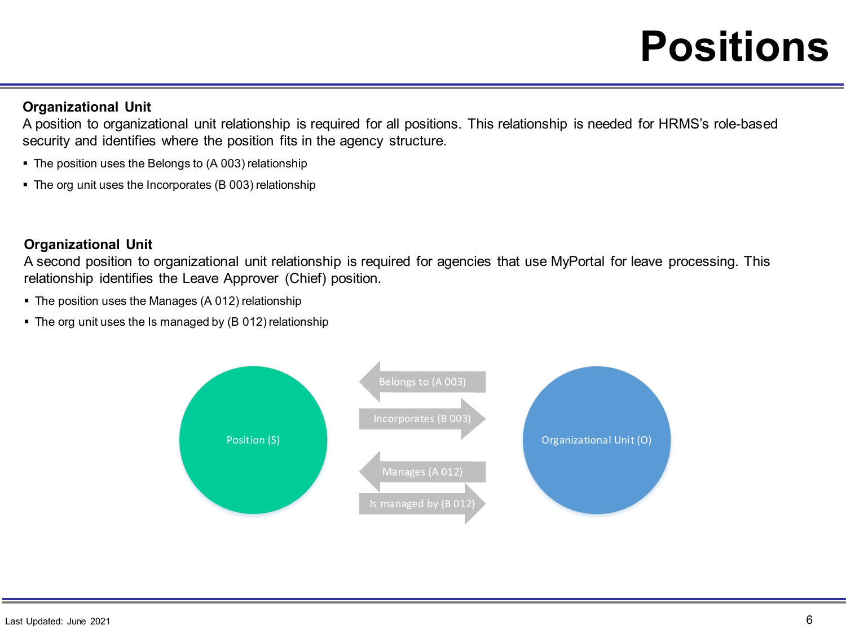### **Positions**

#### **Organizational Unit**

A position to organizational unit relationship is required for all positions. This relationship is needed for HRMS's role-based security and identifies where the position fits in the agency structure.

- The position uses the Belongs to (A 003) relationship
- The org unit uses the Incorporates (B 003) relationship

#### **Organizational Unit**

A second position to organizational unit relationship is required for agencies that use MyPortal for leave processing. This relationship identifies the Leave Approver (Chief) position.

- The position uses the Manages (A 012) relationship
- The org unit uses the Is managed by (B 012) relationship

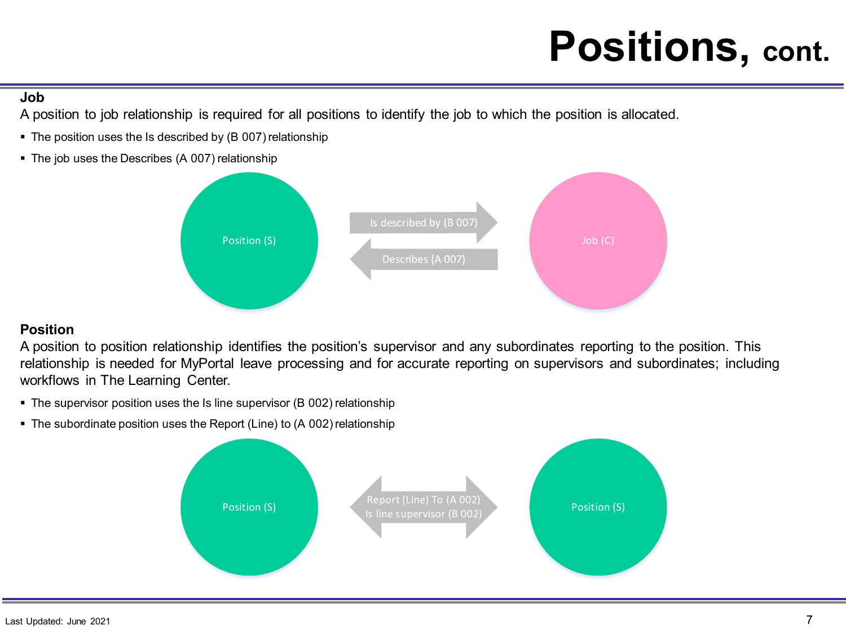## **Positions, cont.**

#### **Job**

A position to job relationship is required for all positions to identify the job to which the position is allocated.

- The position uses the Is described by (B 007) relationship
- The job uses the Describes (A 007) relationship



#### **Position**

A position to position relationship identifies the position's supervisor and any subordinates reporting to the position. This relationship is needed for MyPortal leave processing and for accurate reporting on supervisors and subordinates; including workflows in The Learning Center.

- The supervisor position uses the Is line supervisor (B 002) relationship
- The subordinate position uses the Report (Line) to (A 002) relationship

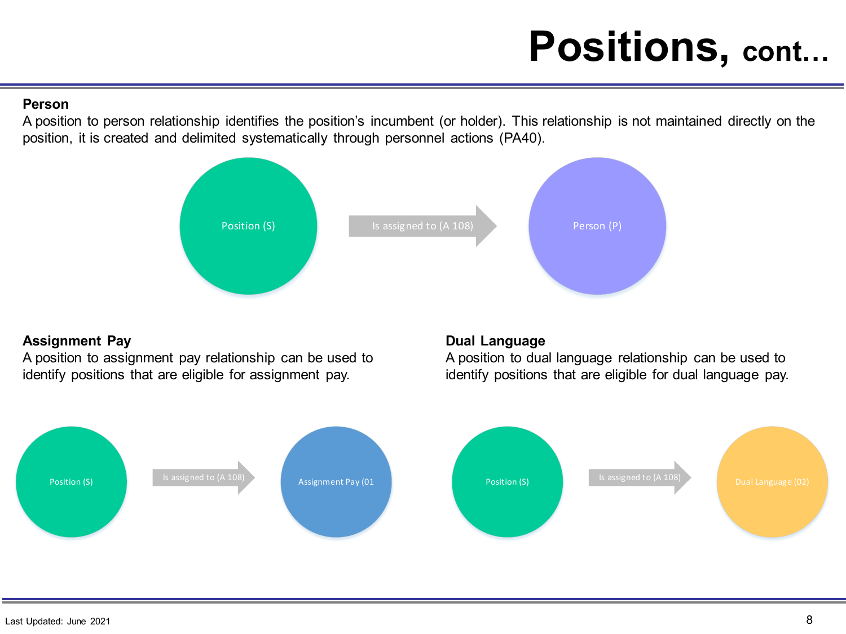## **Positions, cont…**

#### **Person**

A position to person relationship identifies the position's incumbent (or holder). This relationship is not maintained directly on the position, it is created and delimited systematically through personnel actions (PA40).



#### **Assignment Pay**

A position to assignment pay relationship can be used to identify positions that are eligible for assignment pay.

#### **Dual Language**

A position to dual language relationship can be used to identify positions that are eligible for dual language pay.

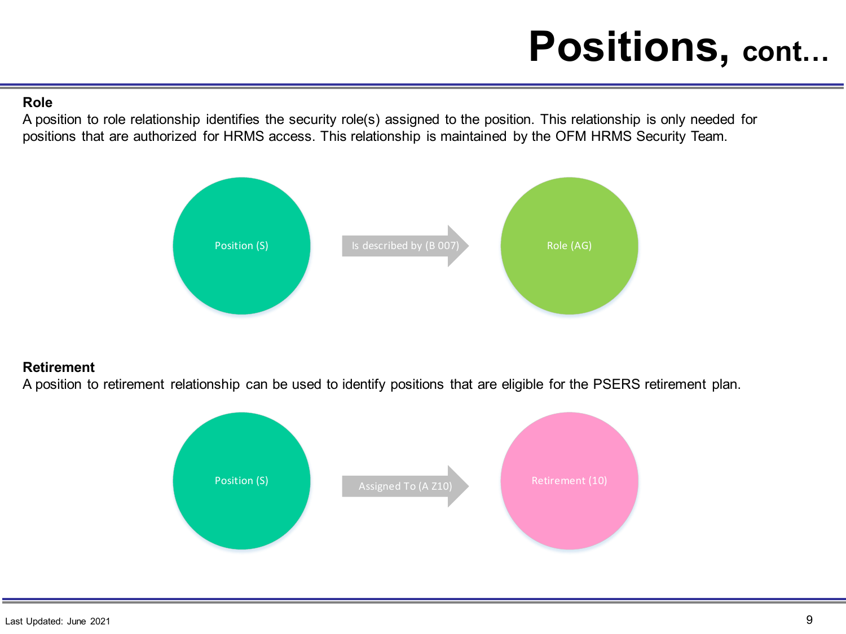## **Positions, cont…**

#### **Role**

A position to role relationship identifies the security role(s) assigned to the position. This relationship is only needed for positions that are authorized for HRMS access. This relationship is maintained by the OFM HRMS Security Team.



#### **Retirement**

A position to retirement relationship can be used to identify positions that are eligible for the PSERS retirement plan.

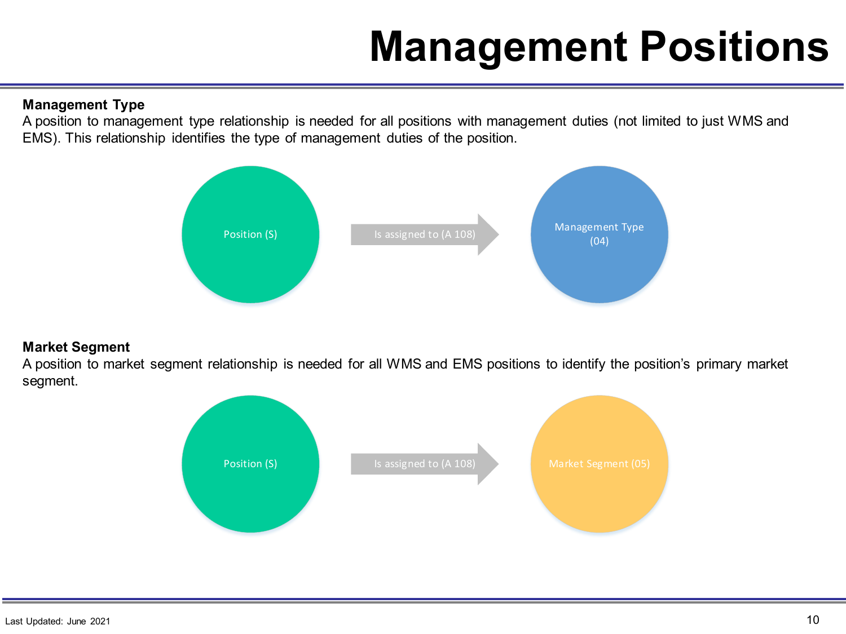# **Management Positions**

#### **Management Type**

A position to management type relationship is needed for all positions with management duties (not limited to just WMS and EMS). This relationship identifies the type of management duties of the position.



#### **Market Segment**

A position to market segment relationship is needed for all WMS and EMS positions to identify the position's primary market segment.